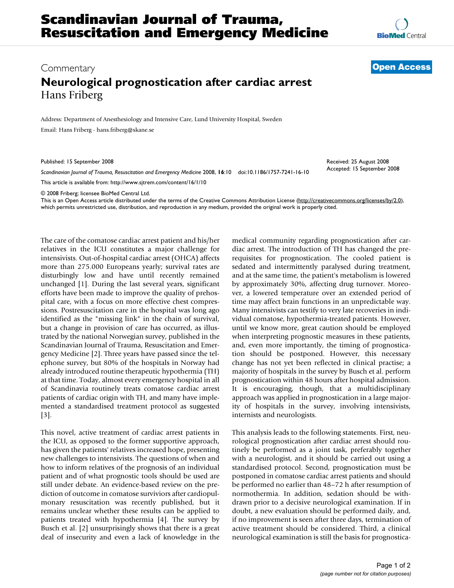## Commentary **[Open Access](http://www.biomedcentral.com/info/about/charter/) Neurological prognostication after cardiac arrest** Hans Friberg

Address: Department of Anesthesiology and Intensive Care, Lund University Hospital, Sweden Email: Hans Friberg - hans.friberg@skane.se

Published: 15 September 2008

*Scandinavian Journal of Trauma, Resuscitation and Emergency Medicine* 2008, **16**:10 doi:10.1186/1757-7241-16-10

[This article is available from: http://www.sjtrem.com/content/16/1/10](http://www.sjtrem.com/content/16/1/10)

© 2008 Friberg; licensee BioMed Central Ltd.

This is an Open Access article distributed under the terms of the Creative Commons Attribution License [\(http://creativecommons.org/licenses/by/2.0\)](http://creativecommons.org/licenses/by/2.0), which permits unrestricted use, distribution, and reproduction in any medium, provided the original work is properly cited.

The care of the comatose cardiac arrest patient and his/her relatives in the ICU constitutes a major challenge for intensivists. Out-of-hospital cardiac arrest (OHCA) affects more than 275.000 Europeans yearly; survival rates are disturbingly low and have until recently remained unchanged [1]. During the last several years, significant efforts have been made to improve the quality of prehospital care, with a focus on more effective chest compressions. Postresuscitation care in the hospital was long ago identified as the "missing link" in the chain of survival, but a change in provision of care has occurred, as illustrated by the national Norwegian survey, published in the Scandinavian Journal of Trauma, Resuscitation and Emergency Medicine [2]. Three years have passed since the telephone survey, but 80% of the hospitals in Norway had already introduced routine therapeutic hypothermia (TH) at that time. Today, almost every emergency hospital in all of Scandinavia routinely treats comatose cardiac arrest patients of cardiac origin with TH, and many have implemented a standardised treatment protocol as suggested [3].

This novel, active treatment of cardiac arrest patients in the ICU, as opposed to the former supportive approach, has given the patients' relatives increased hope, presenting new challenges to intensivists. The questions of when and how to inform relatives of the prognosis of an individual patient and of what prognostic tools should be used are still under debate. An evidence-based review on the prediction of outcome in comatose surviviors after cardiopulmonary resuscitation was recently published, but it remains unclear whether these results can be applied to patients treated with hypothermia [4]. The survey by Busch et al. [2] unsurprisingly shows that there is a great deal of insecurity and even a lack of knowledge in the medical community regarding prognostication after cardiac arrest. The introduction of TH has changed the prerequisites for prognostication. The cooled patient is sedated and intermittently paralysed during treatment, and at the same time, the patient's metabolism is lowered by approximately 30%, affecting drug turnover. Moreover, a lowered temperature over an extended period of time may affect brain functions in an unpredictable way. Many intensivists can testify to very late recoveries in individual comatose, hypothermia-treated patients. However, until we know more, great caution should be employed when interpreting prognostic measures in these patients, and, even more importantly, the timing of prognostication should be postponed. However, this necessary change has not yet been reflected in clinical practise; a majority of hospitals in the survey by Busch et al. perform prognostication within 48 hours after hospital admission. It is encouraging, though, that a multidisciplinary approach was applied in prognostication in a large majority of hospitals in the survey, involving intensivists, internists and neurologists.

This analysis leads to the following statements. First, neurological prognostication after cardiac arrest should routinely be performed as a joint task, preferably together with a neurologist, and it should be carried out using a standardised protocol. Second, prognostication must be postponed in comatose cardiac arrest patients and should be performed no earlier than 48–72 h after resumption of normothermia. In addition, sedation should be withdrawn prior to a decisive neurological examination. If in doubt, a new evaluation should be performed daily, and, if no improvement is seen after three days, termination of active treatment should be considered. Third, a clinical neurological examination is still the basis for prognostica-

Received: 25 August 2008 Accepted: 15 September 2008